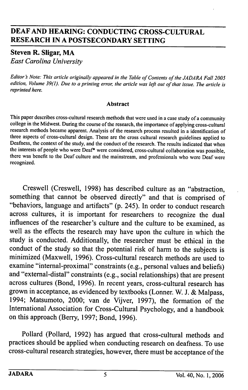# DEAF AND HEARING; CONDUCTING CROSS-CULTURAL RESEARCH IN A POSTSECONDARY SETTING

# Steven R. Sligar, MA

East Carolina University

Editor's Note: This article originally appeared in the Table of Contents of the JADARA Fall 2005 edition. Volume 39(1). Due to a printing error, the article was left out of that issue. The article is reprinted here.

#### Abstract

This paper describes cross-cultural research methods that were used in a case study of a community college in the Midwest. During the course of the research, the importance of applying cross-cultural research methods became apparent. Analysis of the research process resulted in a identification of three aspects of cross-cultural design. These are the cross cultural research guidelines applied to Deafness, the context of the study, and the conduct of the research. The results indicated that when the interests of people who were Deaf\* were considered, cross-cultural collaboration was possible, there was benefit to the Deaf culture and the mainstream, and professionals who were Deaf were recognized.

Creswell (Creswell, 1998) has described culture as an "abstraction, something that cannot be observed directly" and that is comprised of "behaviors, language and artifacts" (p. 245). In order to conduct research across cultures, it is important for researchers to recognize the dual influences of the researcher's culture and the culture to be examined, as well as the effects the research may have upon the culture in which the study is conducted. Additionally, the researcher must be ethical in the conduct of the study so that the potential risk of harm to the subjects is minimized (Maxwell, 1996). Cross-cultural research methods are used to examine "internal-proximal" constraints (e.g., personal values and beliefs) and "extemal-distal" constraints (e.g., social relationships) that are present across cultures (Bond, 1996). In recent years, cross-cultural research has grown in acceptance, as evidenced by textbooks (Lonner. W. J. & Malpass, 1994; Matsumoto, 2000; van de Vijver, 1997), the formation of the International Association for Cross-Cultural Psychology, and a handbook on this approach (Berry, 1997; Bond, 1996).

Pollard (Pollard, 1992) has argued that cross-cultural methods and practices should be applied when conducting research on deafness. To use cross-cultural research strategies, however, there must be acceptance of the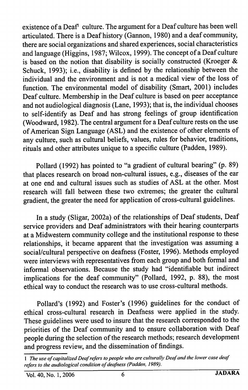existence of a Deaf<sup>1</sup> culture. The argument for a Deaf culture has been well articulated. There is a Deaf history (Gannon, 1980) and a deaf community, there are social organizations and shared experiences, social characteristics and language (Higgins, 1987; Wilcox, 1999). The concept of a Deaf culture is based on the notion that disability is socially constructed (Kroeger & Schuck, 1993); i.e., disability is defined by the relationship between the individual and the environment and is not a medical view of the loss of function. The environmental model of disability (Smart, 2001) includes Deaf culture. Membership in the Deaf culture is based on peer acceptance and not audiological diagnosis (Lane, 1993); that is, the individual chooses to self-identify as Deaf and has strong feelings of group identification (Woodward, 1982). The central argument for a Deaf culture rests on the use of American Sign Language (ASL) and the existence of other elements of any culture, such as cultural beliefs, values, rules for behavior, traditions, rituals and other attributes unique to a specific culture (Padden, 1989).

Pollard (1992) has pointed to "a gradient of cultural bearing" (p. 89) that places research on broad non-cultural issues, e.g., diseases of the ear at one end and cultural issues such as studies of ASL at the other. Most research will fall between these two extremes; the greater the cultural gradient, the greater the need for application of cross-cultural guidelines.

In a study (Sligar, 2002a) of the relationships of Deaf students. Deaf service providers and Deaf administrators with their hearing counterparts at a Midwestern community college and the institutional response to these relationships, it became apparent that the investigation was assuming a social/cultural perspective on deafness (Foster, 1996). Methods employed were interviews with representatives from each group and both formal and informal observations. Because the study had "identifiable but indirect implications for the deaf community" (Pollard, 1992, p. 88), the most ethical way to conduct the research was to use cross-cultural methods.

Pollard's (1992) and Foster's (1996) guidelines for the conduct of ethical cross-cultural research in Deafness were applied in the study. These guidelines were used to insure that the research corresponded to the priorities of the Deaf community and to ensure collaboration with Deaf people during the selection of the research methods; research development and progress review, and the dissemination of findings.

<sup>1</sup> The use of capitalized Deaf refers to people who are culturally Deaf and the lower case deaf refers to the audiological condition of deafness (Padden, 1989).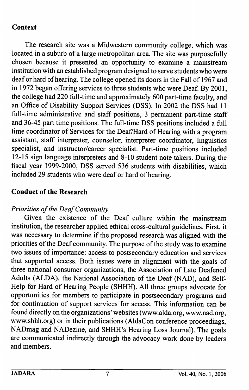# **Context**

The research site was a Midwestern community college, which was located in a suburb of a large metropolitan area. The site was purposefully chosen because it presented an opportunity to examine a mainstream institution with an established program designed to serve students who were deaf or hard of hearing. The college opened its doors in the Fall of 1967 and in 1972 began offering services to three students who were Deaf. By 2001, the college had 220 full-time and approximately 600 part-time faculty, and an Office of Disability Support Services (DSS). In 2002 the DSS had 11 full-time administrative and staff positions, 3 permanent part-time staff and 36-45 part time positions. The full-time DSS positions included a full time coordinator of Services for the Deaf/Hard of Hearing with a program assistant, staff interpreter, counselor, interpreter coordinator, linguistics specialist, and instructor/career specialist. Part-time positions included 12-15 sign language interpreters and 8-10 student note takers. During the fiscal year 1999-2000, DSS served 536 students with disabilities, which included 29 students who were deaf or hard of hearing.

# Conduct of the Research

### Priorities of the Deaf Community

Given the existence of the Deaf culture within the mainstream institution, the researcher applied ethical cross-cultural guidelines. First, it was necessary to determine if the proposed research was aligned with the priorities of the Deaf community. The purpose of the study was to examine two issues of importance: access to postsecondary education and services that supported access. Both issues were in alignment with the goals of three national consumer organizations, the Association of Late Deafened Adults (ALDA), the National Association of the Deaf (NAD), and Self-Help for Hard of Hearing People (SHHH). All three groups advocate for opportunities for members to participate in postsecondary programs and for continuation of support services for access. This information can be found directly on the organizations' websites (www.alda.org, www.nad.org, www.shhh.org) or in their publications (AldaCon conference proceedings, NADmag and NADezine, and SHHH's Hearing Loss Journal). The goals are communicated indirectly through the advocacy work done by leaders and members.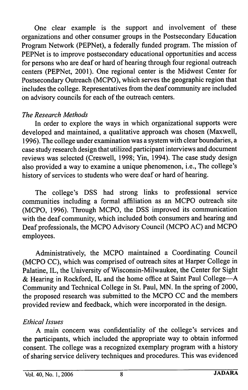One clear example is the support and involvement of these organizations and other consumer groups in the Postsecondary Education Program Network (PEPNet), a federally funded program. The mission of PEPNet is to improve postsecondary educational opportunities and access for persons who are deaf or hard of hearing through four regional outreach centers (PEPNet, 2001). One regional center is the Midwest Center for Postsecondary Outreach (MCPO), which serves the geographic region that includes the college. Representatives from the deaf community are included on advisory councils for each of the outreach centers.

# The Research Methods

In order to explore the ways in which organizational supports were developed and maintained, a qualitative approach was chosen (Maxwell, 1996). The college under examination was a system with clear boundaries, a case study research design that utilized participant interviews and document reviews was selected (Creswell, 1998; Yin, 1994). The case study design also provided a way to examine a unique phenomenon, i.e.. The college's history of services to students who were deaf or hard of hearing.

The college's DSS had strong links to professional service communities including a formal affiliation as an MCPO outreach site (MCPO, 1996). Through MCPO, the DSS improved its communication with the deaf community, which included both consumers and hearing and Deaf professionals, the MCPO Advisory Council (MCPO AC) and MCPO employees.

Administratively, the MCPO maintained a Coordinating Council (MCPO CC), which was comprised of outreach sites at Harper College in Palatine, IL, the University of Wisconsin-Milwaukee, the Center for Sight & Hearing in Rockford, IL and the home office at Saint Paul College—A Community and Technical College in St. Paul, MN. In the spring of 2000, the proposed research was submitted to the MCPO CC and the members provided review and feedback, which were incorporated in the design.

### Ethical Issues

A main concern was confidentiality of the college's services and the participants, which included the appropriate way to obtain informed consent. The college was a recognized exemplary program with a history of sharing service delivery techniques and procedures. This was evidenced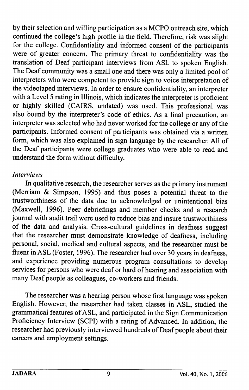by their selection and willing participation as a MCPO outreach site, which continued the college's high profile in the field. Therefore, risk was slight for the college. Confidentiality and informed consent of the participants were of greater concern. The primary threat to confidentiality was the translation of Deaf participant interviews from ASL to spoken English. The Deaf community was a small one and there was only a limited pool of interpreters who were competent to provide sign to voice interpretation of the videotaped interviews. In order to ensure confidentiality, an interpreter with a Level 5 rating in Illinois, which indicates the interpreter is proficient or highly skilled (CAIRS, undated) was used. This professional was also bound by the interpreter's code of ethics. As a final precaution, an interpreter was selected who had never worked for the college or any of the participants. Informed consent of participants was obtained via a written form, which was also explained in sign language by the researcher. All of the Deaf participants were college graduates who were able to read and understand the form without difficulty.

### Interviews

In qualitative research, the researcher serves as the primary instrument (Merriam & Simpson, 1995) and thus poses a potential threat to the trustworthiness of the data due to acknowledged or unintentional bias (Maxwell, 1996). Peer debriefings and member checks and a research journal with audit trail were used to reduce bias and insure trustworthiness of the data and analysis. Cross-cultural guidelines in deafness suggest that the researcher must demonstrate knowledge of deafness, including personal, social, medical and cultural aspects, and the researcher must be fluent in ASL (Foster, 1996). The researcher had over 30 years in deafness, and experience providing numerous program consultations to develop services for persons who were deaf or hard of hearing and association with many Deaf people as colleagues, co-workers and friends.

The researcher was a hearing person whose first language was spoken English. However, the researcher had taken classes in ASL, studied the grammatical features of ASL, and participated in the Sign Communication Proficiency Interview (SCPI) with a rating of Advanced. In addition, the researcher had previously interviewed hundreds of Deaf people about their careers and employment settings.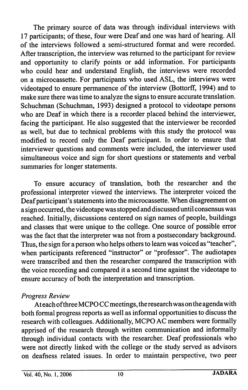The primary source of data was through individual interviews with 17 participants; of these, four were Deaf and one was hard of hearing. All of the interviews followed a semi-structured format and were recorded. After transcription, the interview was returned to the participant for review and opportunity to clarify points or add information. For participants who could hear and understand English, the interviews were recorded on a microcassette. For participants who used ASL, the interviews were videotaped to ensure permanence of the interview (Bottorff, 1994) and to make sure there was time to analyze the signs to ensure accurate translation. Schuchman (Schuchman, 1993) designed a protocol to videotape persons who are Deaf in which there is a recorder placed behind the interviewer, facing the participant. He also suggested that the interviewer be recorded as well, but due to technical problems with this study the protocol was modified to record only the Deaf participant. In order to ensure that interviewer questions and comments were included, the interviewer used simultaneous voice and sign for short questions or statements and verbal summaries for longer statements.

To ensure accuracy of translation, both the researcher and the professional interpreter viewed the interviews. The interpreter voiced the Deaf participant's statements into the microcassette. When disagreement on a sign occurred, the videotape was stopped and discussed until consensus was reached. Initially, discussions centered on sign names of people, buildings and classes that were unique to the college. One source of possible error was the fact that the interpreter was not from a postsecondary background. Thus, the sign for a person who helps others to leam was voiced as "teacher", when participants referenced "instructor" or "professor". The audiotapes were transcribed and then the researcher compared the transcription with the voice recording and compared it a second time against the videotape to ensure accuracy of both the interpretation and transcription.

### Progress Review

At each of three MCPO CC meetings, the research was on the agenda with both formal progress reports as well as informal opportunities to discuss the research with colleagues. Additionally, MCPO AC members were formally apprised of the research through written communication and informally through individual contacts with the researcher. Deaf professionals who were not directly linked with the college or the study served as advisors on deafness related issues. In order to maintain perspective, two peer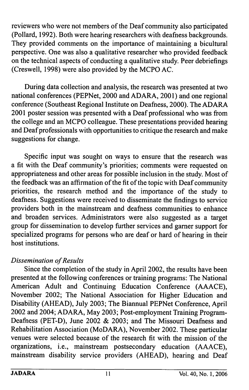reviewers who were not members of the Deaf community also participated (Pollard, 1992). Both were hearing researchers with deafness backgrounds. They provided comments on the importance of maintaining a bicultural perspective. One was also a qualitative researcher who provided feedback on the technical aspects of conducting a qualitative study. Peer debriefings (Creswell, 1998) were also provided by the MCPO AC.

During data collection and analysis, the research was presented at two national conferences (PEPNet, 2000 and ADARA, 2001) and one regional conference (Southeast Regional Institute on Deafness, 2000). The ADARA 2001 poster session was presented with a Deaf professional who was from the college and an MCPO colleague. These presentations provided hearing and Deaf professionals with opportunities to critique the research and make suggestions for change.

Specific input was sought on ways to ensure that the research was a fit with the Deaf community's priorities; comments were requested on appropriateness and other areas for possible inclusion in the study. Most of the feedback was an affirmation of the fit of the topic with Deaf community priorities, the research method and the importance of the study to deafness. Suggestions were received to disseminate the findings to service providers both in the mainstream and deafness communities to enhance and broaden services. Administrators were also suggested as a target group for dissemination to develop further services and gamer support for specialized programs for persons who are deaf or hard of hearing in their host institutions.

# Dissemination of Results

Since the completion of the study in April 2002, the results have been presented at the following conferences or training programs: The National American Adult and Continuing Education Conference (AAACE), November 2002; The National Association for Higher Education and Disability (AHEAD), July 2003; The Biannual PEPNet Conference, April 2002 and 2004; ADARA, May 2003; Post-employment Training Program-Deafness (PET-D), June 2002 & 2003; and The Missouri Deafness and Rehabilitation Association (MoDARA), November 2002. These particular venues were selected because of the research fit with the mission of the organizations, i.e., mainstream postsecondary education (AAACE), mainstream disability service providers (AHEAD), hearing and Deaf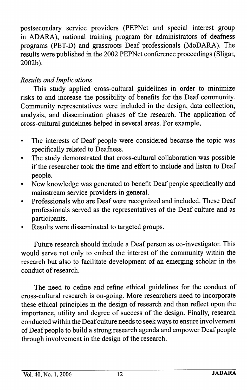postsecondary service providers (PEPNet and special interest group in ADARA), national training program for administrators of deafness programs (PET-D) and grassroots Deaf professionals (MoDARA). The results were published in the 2002 PEPNet conference proceedings (Sligar, 2002b).

# Results and Implications

This study applied cross-cultural guidelines in order to minimize risks to and increase the possibility of benefits for the Deaf community. Community representatives were included in the design, data collection, analysis, and dissemination phases of the research. The application of cross-cultural guidelines helped in several areas. For example.

- The interests of Deaf people were considered because the topic was  $\bullet$ specifically related to Deafness.
- The study demonstrated that cross-cultural collaboration was possible  $\bullet$ if the researcher took the time and effort to include and listen to Deaf people.
- New knowledge was generated to benefit Deaf people specifically and  $\bullet$ mainstream service providers in general.
- Professionals who are Deaf were recognized and included. These Deaf  $\bullet$ professionals served as the representatives of the Deaf culture and as participants.
- Results were disseminated to targeted groups.

Future research should include a Deaf person as co-investigator. This would serve not only to embed the interest of the community within the research but also to facilitate development of an emerging scholar in the conduct of research.

The need to define and refine ethical guidelines for the conduct of cross-cultural research is on-going. More researchers need to incorporate these ethical principles in the design of research and then reflect upon the importance, utility and degree of success of the design. Finally, research conducted within the Deaf culture needs to seek ways to ensure involvement of Deaf people to build a strong research agenda and empower Deaf people through involvement in the design of the research.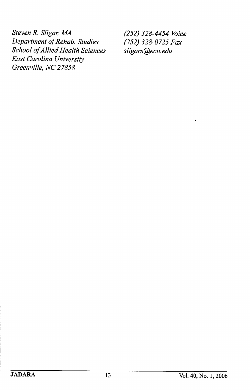Steven R. Sligar, MA (252) 328-4454 Voice<br>Department of Rehab. Studies (252) 328-0725 Fax Department of Rehab. Studies School of Allied Health Sciences sligars@ecu.edu East Carolina University Greenville, NC 27858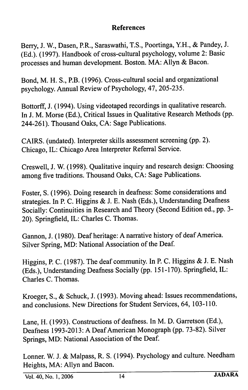### References

Berry, J. W., Dasen, RR., Saraswathi, T.S., Poortinga, Y.H., & Pandey, J. (Ed.). (1997). Handbook of cross-cultural psychology, volume 2: Basic processes and human development. Boston. MA: Allyn & Bacon.

Bond, M. H. S., P.B. (1996). Cross-cultural social and organizational psychology. Annual Review of Psychology, 47, 205-235.

Bottorff, J. (1994). Using videotaped recordings in qualitative research. In J. M. Morse (Ed.), Critical Issues in Qualitative Research Methods (pp. 244-261). Thousand Oaks, CA: Sage Publications.

CAIRS. (undated). Interpreter skills assessment screening (pp. 2). Chicago, IL: Chicago Area Interpreter Referral Service.

Creswell, J. W. (1998). Qualitative inquiry and research design: Choosing among five traditions. Thousand Oaks, CA: Sage Publications.

Foster, S. (1996). Doing research in deafness: Some considerations and strategies. In P. C. Higgins & J. E. Nash (Eds.), Understanding Deafness Socially: Continuities in Research and Theory (Second Edition ed., pp. 3- 20). Springfield, IL: Charles C. Thomas.

Gannon, J. (1980). Deaf heritage: A narrative history of deaf America. Silver Spring, MD: National Association of the Deaf.

Higgins, P. C. (1987). The deaf community. In P. C. Higgins & J. E. Nash (Eds.), Understanding Deafness Socially (pp. 151-170). Springfield, IL: Charles C. Thomas.

Kroeger, S., & Schuck, J. (1993). Moving ahead: Issues recommendations, and conclusions. New Directions for Student Services, 64, 103-110.

Lane, H. (1993). Constructions of deafhess. In M. D. Garretson (Ed.), Deafness 1993-2013: A Deaf American Monograph (pp. 73-82). Silver Springs, MD: National Association of the Deaf.

Lonner. W. J. & Malpass, R. S. (1994). Psychology and culture. Needham Heights, MA: Allyn and Bacon.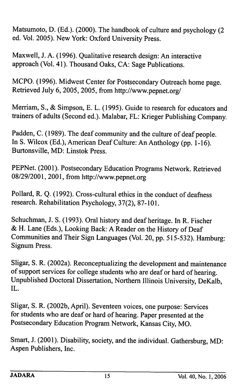Matsumoto, D. (Ed.). (2000). The handbook of culture and psychology (2 ed. Vol. 2005). New York: Oxford University Press.

Maxwell, J. A. (1996). Qualitative research design: An interactive approach (Vol. 41). Thousand Oaks, CA: Sage Publications.

MCPO. (1996). Midwest Center for Postsecondary Outreach home page. Retrieved July 6, 2005,2005, from http://www.pepnet.org/

Merriam, S., & Simpson, E. L. (1995). Guide to research for educators and trainers of adults (Second ed.). Malabar, FL: Krieger Publishing Company.

Padden, C. (1989). The deaf community and the culture of deaf people. In S. Wilcox (Ed.), American Deaf Culture: An Anthology (pp. 1-16). Burtonsville, MD: Linstok Press.

PEPNet. (2001). Postsecondary Education Programs Network. Retrieved 08/29/2001, 2001, from http://www.pepnet.org

Pollard, R. Q. (1992). Cross-cultural ethics in the conduct of deafness research. Rehabilitation Psychology, 37(2), 87-101.

Schuchman, J. S. (1993). Oral history and deaf heritage. In R. Fischer & H. Lane (Eds.), Looking Back: A Reader on the History of Deaf Communities and Their Sign Languages (Vol. 20, pp. 515-532). Hamburg: Signum Press.

Sligar, S. R. (2002a). Reconceptualizing the development and maintenance of support services for college students who are deaf or hard of hearing. Unpublished Doctoral Dissertation, Northern Illinois University, DeKalb, IL.

Sligar, S. R. (2002b, April). Seventeen voices, one purpose: Services for students who are deaf or hard of hearing. Paper presented at the Postsecondary Education Program Network, Kansas City, MO.

Smart, J. (2001). Disability, society, and the individual. Gathersburg, MD: Aspen Publishers, Inc.